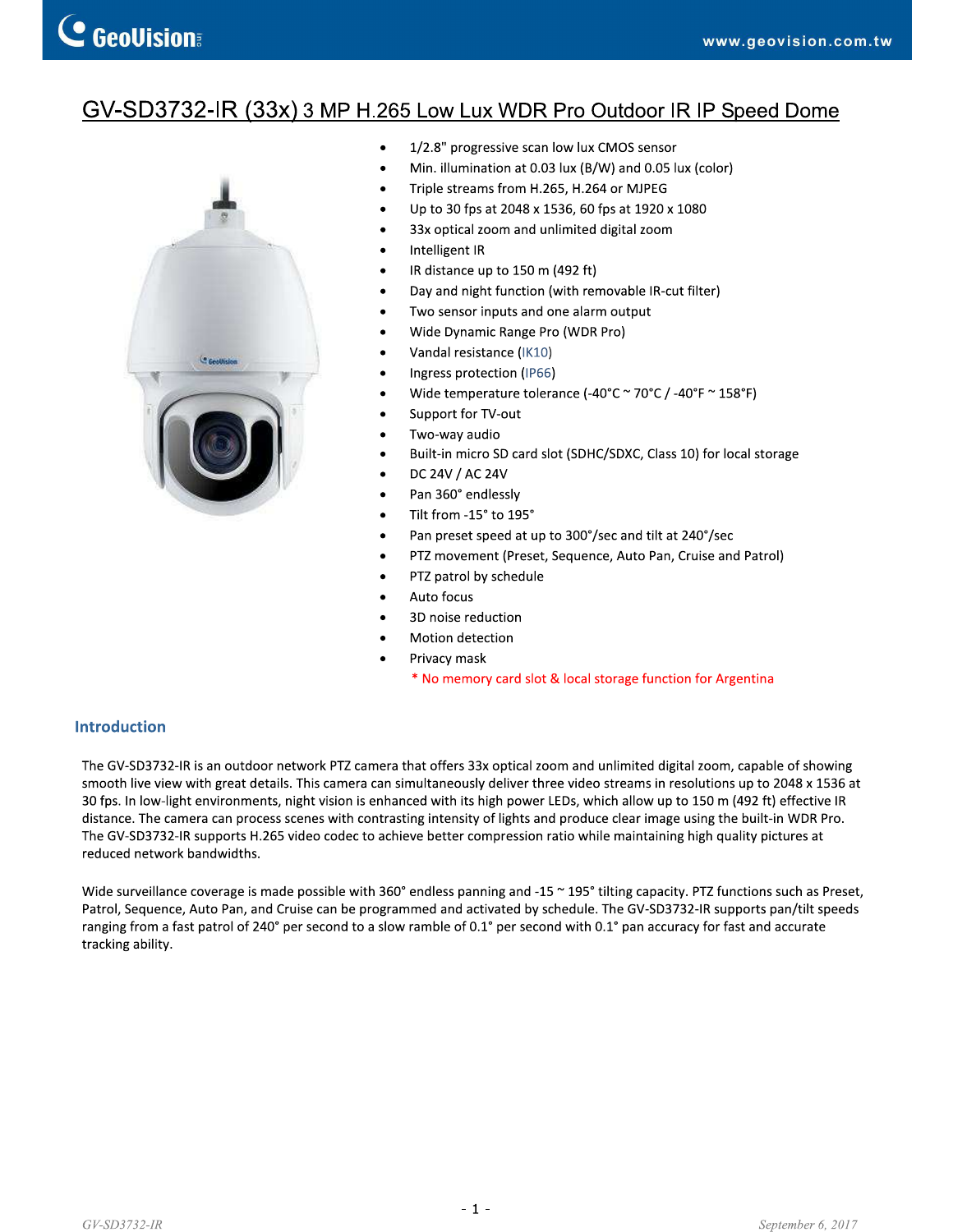# GV-SD3732-IR (33x) 3 MP H.265 Low Lux WDR Pro Outdoor IR IP Speed Dome



- $\bullet$ 1/2.8" progressive scan low lux CMOS sensor
- $\bullet$ Min. illumination at 0.03 lux (B/W) and 0.05 lux (color)
- Triple streams from H.265, H.264 or MJPEG  $\bullet$
- Up to 30 fps at 2048 x 1536, 60 fps at 1920 x 1080  $\bullet$
- $\bullet$ 33x optical zoom and unlimited digital zoom
- $\bullet$ Intelligent IR
- $\bullet$ IR distance up to 150 m (492 ft)
- $\bullet$ Day and night function (with removable IR-cut filter)
- Two sensor inputs and one alarm output  $\bullet$
- $\bullet$ Wide Dynamic Range Pro (WDR Pro)
- Vandal resistance (IK10)  $\bullet$
- $\bullet$ Ingress protection (IP66)
- Wide temperature tolerance (-40°C ~ 70°C / -40°F ~ 158°F)  $\bullet$
- $\bullet$ Support for TV-out
- $\bullet$ Two-way audio
- Built-in micro SD card slot (SDHC/SDXC, Class 10) for local storage  $\bullet$
- DC 24V / AC 24V  $\bullet$
- $\bullet$ Pan 360° endlessly
- Tilt from -15° to 195°  $\bullet$
- Pan preset speed at up to 300°/sec and tilt at 240°/sec  $\bullet$
- PTZ movement (Preset, Sequence, Auto Pan, Cruise and Patrol)  $\bullet$
- PTZ patrol by schedule  $\bullet$
- Auto focus  $\bullet$
- 3D noise reduction
- Motion detection
- Privacy mask
	- \* No memory card slot & local storage function for Argentina

### **Introduction**

The GV-SD3732-IR is an outdoor network PTZ camera that offers 33x optical zoom and unlimited digital zoom, capable of showing smooth live view with great details. This camera can simultaneously deliver three video streams in resolutions up to 2048 x 1536 at 30 fps. In low-light environments, night vision is enhanced with its high power LEDs, which allow up to 150 m (492 ft) effective IR distance. The camera can process scenes with contrasting intensity of lights and produce clear image using the built-in WDR Pro. The GV-SD3732-IR supports H.265 video codec to achieve better compression ratio while maintaining high quality pictures at reduced network bandwidths.

Wide surveillance coverage is made possible with 360° endless panning and -15 ~ 195° tilting capacity. PTZ functions such as Preset, Patrol, Sequence, Auto Pan, and Cruise can be programmed and activated by schedule. The GV-SD3732-IR supports pan/tilt speeds ranging from a fast patrol of 240° per second to a slow ramble of 0.1° per second with 0.1° pan accuracy for fast and accurate tracking ability.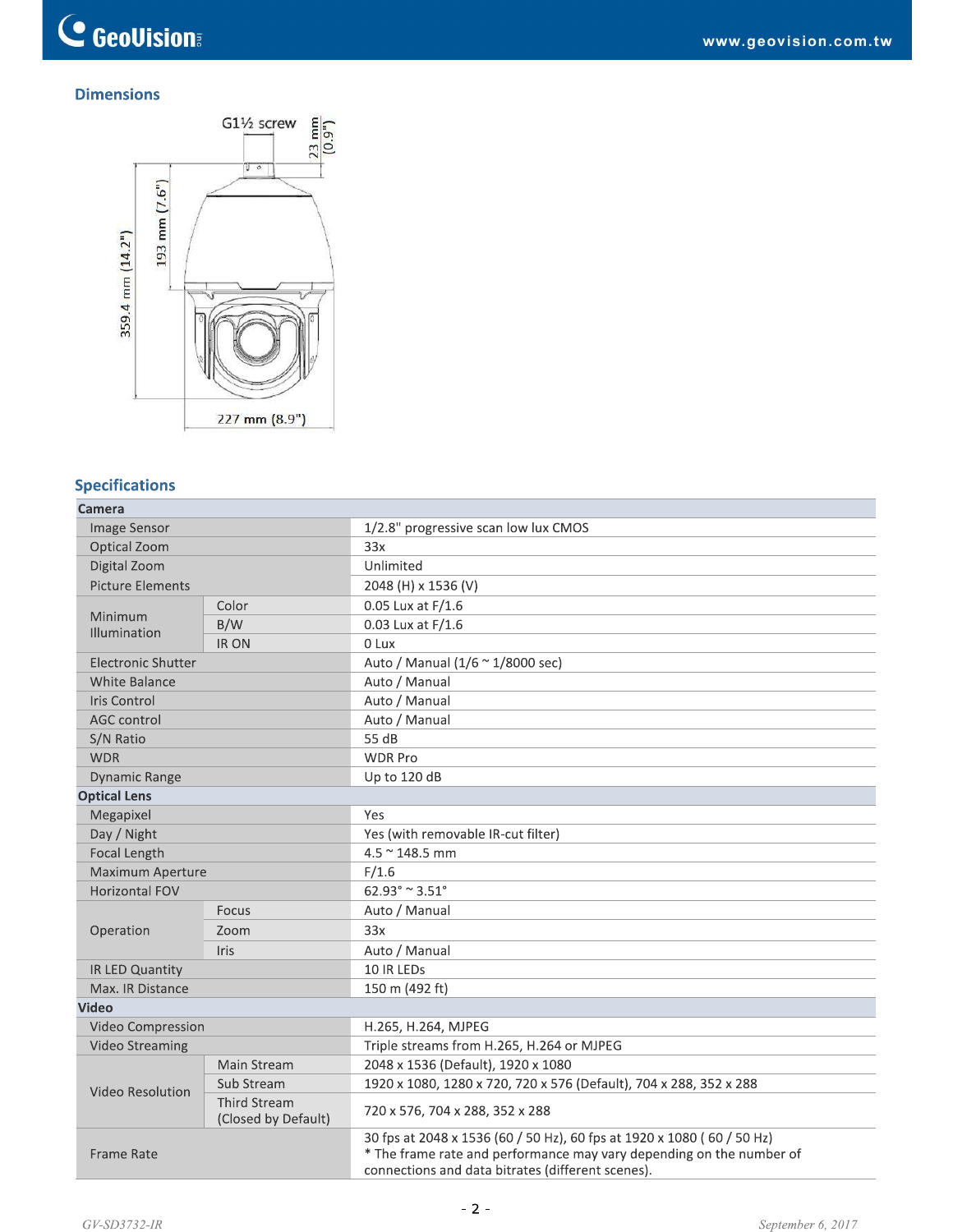## **Dimensions**



## **Specifications**

| Camera                  |                                            |                                                                                                                                                                                                     |  |  |
|-------------------------|--------------------------------------------|-----------------------------------------------------------------------------------------------------------------------------------------------------------------------------------------------------|--|--|
| Image Sensor            |                                            | 1/2.8" progressive scan low lux CMOS                                                                                                                                                                |  |  |
| Optical Zoom            |                                            | 33x                                                                                                                                                                                                 |  |  |
| Digital Zoom            |                                            | Unlimited                                                                                                                                                                                           |  |  |
| <b>Picture Elements</b> |                                            | 2048 (H) x 1536 (V)                                                                                                                                                                                 |  |  |
|                         | Color                                      | 0.05 Lux at F/1.6                                                                                                                                                                                   |  |  |
| Minimum<br>Illumination | B/W                                        | 0.03 Lux at F/1.6                                                                                                                                                                                   |  |  |
|                         | <b>IRON</b>                                | 0 Lux                                                                                                                                                                                               |  |  |
| Electronic Shutter      |                                            | Auto / Manual (1/6 ~ 1/8000 sec)                                                                                                                                                                    |  |  |
| <b>White Balance</b>    |                                            | Auto / Manual                                                                                                                                                                                       |  |  |
| Iris Control            |                                            | Auto / Manual                                                                                                                                                                                       |  |  |
| <b>AGC</b> control      |                                            | Auto / Manual                                                                                                                                                                                       |  |  |
| S/N Ratio               |                                            | 55 dB                                                                                                                                                                                               |  |  |
| <b>WDR</b>              |                                            | <b>WDR Pro</b>                                                                                                                                                                                      |  |  |
| <b>Dynamic Range</b>    |                                            | Up to 120 dB                                                                                                                                                                                        |  |  |
| <b>Optical Lens</b>     |                                            |                                                                                                                                                                                                     |  |  |
| Megapixel               |                                            | Yes                                                                                                                                                                                                 |  |  |
| Day / Night             |                                            | Yes (with removable IR-cut filter)                                                                                                                                                                  |  |  |
| Focal Length            |                                            | 4.5 ~ 148.5 mm                                                                                                                                                                                      |  |  |
| Maximum Aperture        |                                            | F/1.6                                                                                                                                                                                               |  |  |
| Horizontal FOV          |                                            | $62.93^{\circ} \approx 3.51^{\circ}$                                                                                                                                                                |  |  |
|                         | Focus                                      | Auto / Manual                                                                                                                                                                                       |  |  |
| Operation               | Zoom                                       | 33x                                                                                                                                                                                                 |  |  |
|                         | <b>Iris</b>                                | Auto / Manual                                                                                                                                                                                       |  |  |
| IR LED Quantity         |                                            | 10 IR LEDs                                                                                                                                                                                          |  |  |
| Max. IR Distance        |                                            | 150 m (492 ft)                                                                                                                                                                                      |  |  |
| <b>Video</b>            |                                            |                                                                                                                                                                                                     |  |  |
| Video Compression       |                                            | H.265, H.264, MJPEG                                                                                                                                                                                 |  |  |
| <b>Video Streaming</b>  |                                            | Triple streams from H.265, H.264 or MJPEG                                                                                                                                                           |  |  |
|                         | Main Stream                                | 2048 x 1536 (Default), 1920 x 1080                                                                                                                                                                  |  |  |
| Video Resolution        | Sub Stream                                 | 1920 x 1080, 1280 x 720, 720 x 576 (Default), 704 x 288, 352 x 288                                                                                                                                  |  |  |
|                         | <b>Third Stream</b><br>(Closed by Default) | 720 x 576, 704 x 288, 352 x 288                                                                                                                                                                     |  |  |
| Frame Rate              |                                            | 30 fps at 2048 x 1536 (60 / 50 Hz), 60 fps at 1920 x 1080 (60 / 50 Hz)<br>* The frame rate and performance may vary depending on the number of<br>connections and data bitrates (different scenes). |  |  |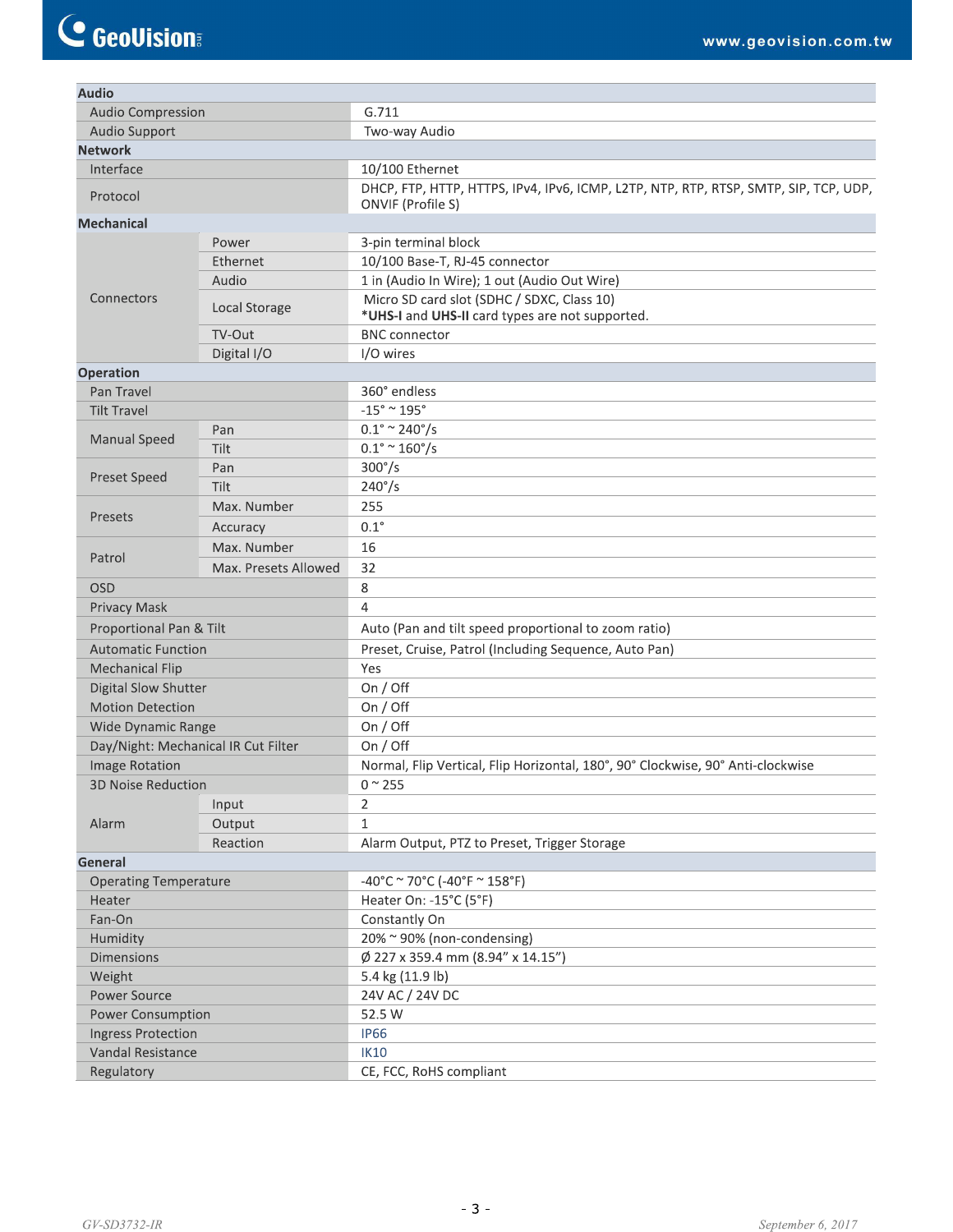| <b>Audio</b>                        |                      |                                                                                                           |  |  |
|-------------------------------------|----------------------|-----------------------------------------------------------------------------------------------------------|--|--|
| <b>Audio Compression</b>            |                      | G.711                                                                                                     |  |  |
| <b>Audio Support</b>                |                      | Two-way Audio                                                                                             |  |  |
| <b>Network</b>                      |                      |                                                                                                           |  |  |
| Interface                           |                      | 10/100 Ethernet                                                                                           |  |  |
| Protocol                            |                      | DHCP, FTP, HTTP, HTTPS, IPv4, IPv6, ICMP, L2TP, NTP, RTP, RTSP, SMTP, SIP, TCP, UDP,<br>ONVIF (Profile S) |  |  |
| <b>Mechanical</b>                   |                      |                                                                                                           |  |  |
|                                     | Power                | 3-pin terminal block                                                                                      |  |  |
|                                     | Ethernet             | 10/100 Base-T, RJ-45 connector                                                                            |  |  |
|                                     | Audio                | 1 in (Audio In Wire); 1 out (Audio Out Wire)                                                              |  |  |
| Connectors                          | Local Storage        | Micro SD card slot (SDHC / SDXC, Class 10)<br>*UHS-I and UHS-II card types are not supported.             |  |  |
|                                     | TV-Out               | <b>BNC</b> connector                                                                                      |  |  |
|                                     | Digital I/O          | I/O wires                                                                                                 |  |  |
| <b>Operation</b>                    |                      |                                                                                                           |  |  |
| Pan Travel                          |                      | 360° endless                                                                                              |  |  |
| <b>Tilt Travel</b>                  |                      | $-15^\circ \simeq 195^\circ$                                                                              |  |  |
|                                     | Pan                  | $0.1^{\circ} \approx 240^{\circ}/s$                                                                       |  |  |
| <b>Manual Speed</b>                 | Tilt                 | $0.1^{\circ} \sim 160^{\circ}/s$                                                                          |  |  |
|                                     | Pan                  | $300^{\circ}/s$                                                                                           |  |  |
| <b>Preset Speed</b>                 | Tilt                 | $240^{\circ}/s$                                                                                           |  |  |
|                                     | 255<br>Max. Number   |                                                                                                           |  |  |
| Presets                             | Accuracy             | $0.1^{\circ}$                                                                                             |  |  |
|                                     | Max. Number          | 16                                                                                                        |  |  |
| Patrol                              | Max. Presets Allowed | 32                                                                                                        |  |  |
| <b>OSD</b>                          |                      | 8                                                                                                         |  |  |
| Privacy Mask                        |                      | $\overline{4}$                                                                                            |  |  |
| Proportional Pan & Tilt             |                      | Auto (Pan and tilt speed proportional to zoom ratio)                                                      |  |  |
| <b>Automatic Function</b>           |                      | Preset, Cruise, Patrol (Including Sequence, Auto Pan)                                                     |  |  |
| <b>Mechanical Flip</b>              |                      | Yes                                                                                                       |  |  |
| <b>Digital Slow Shutter</b>         |                      | On / Off                                                                                                  |  |  |
| <b>Motion Detection</b>             |                      | On $/$ Off                                                                                                |  |  |
| Wide Dynamic Range                  |                      | On / Off                                                                                                  |  |  |
| Day/Night: Mechanical IR Cut Filter |                      | On / Off                                                                                                  |  |  |
| <b>Image Rotation</b>               |                      | Normal, Flip Vertical, Flip Horizontal, 180°, 90° Clockwise, 90° Anti-clockwise                           |  |  |
| <b>3D Noise Reduction</b>           |                      | $0$ $^{\sim}$ 255                                                                                         |  |  |
|                                     | Input                | 2                                                                                                         |  |  |
| Alarm                               | Output               | $\mathbf{1}$                                                                                              |  |  |
|                                     | Reaction             | Alarm Output, PTZ to Preset, Trigger Storage                                                              |  |  |
| General                             |                      |                                                                                                           |  |  |
| <b>Operating Temperature</b>        |                      | $-40^{\circ}$ C ~ 70°C (-40°F ~ 158°F)                                                                    |  |  |
| Heater                              |                      | Heater On: -15°C (5°F)                                                                                    |  |  |
| Fan-On                              |                      | Constantly On                                                                                             |  |  |
| Humidity                            |                      | 20% ~ 90% (non-condensing)                                                                                |  |  |
| Dimensions                          |                      | Ø 227 x 359.4 mm (8.94" x 14.15")                                                                         |  |  |
| Weight                              |                      | 5.4 kg (11.9 lb)                                                                                          |  |  |
| <b>Power Source</b>                 |                      | 24V AC / 24V DC                                                                                           |  |  |
| <b>Power Consumption</b>            |                      | 52.5 W                                                                                                    |  |  |
| <b>Ingress Protection</b>           |                      | <b>IP66</b>                                                                                               |  |  |
| Vandal Resistance                   |                      | <b>IK10</b>                                                                                               |  |  |
| Regulatory                          |                      | CE, FCC, RoHS compliant                                                                                   |  |  |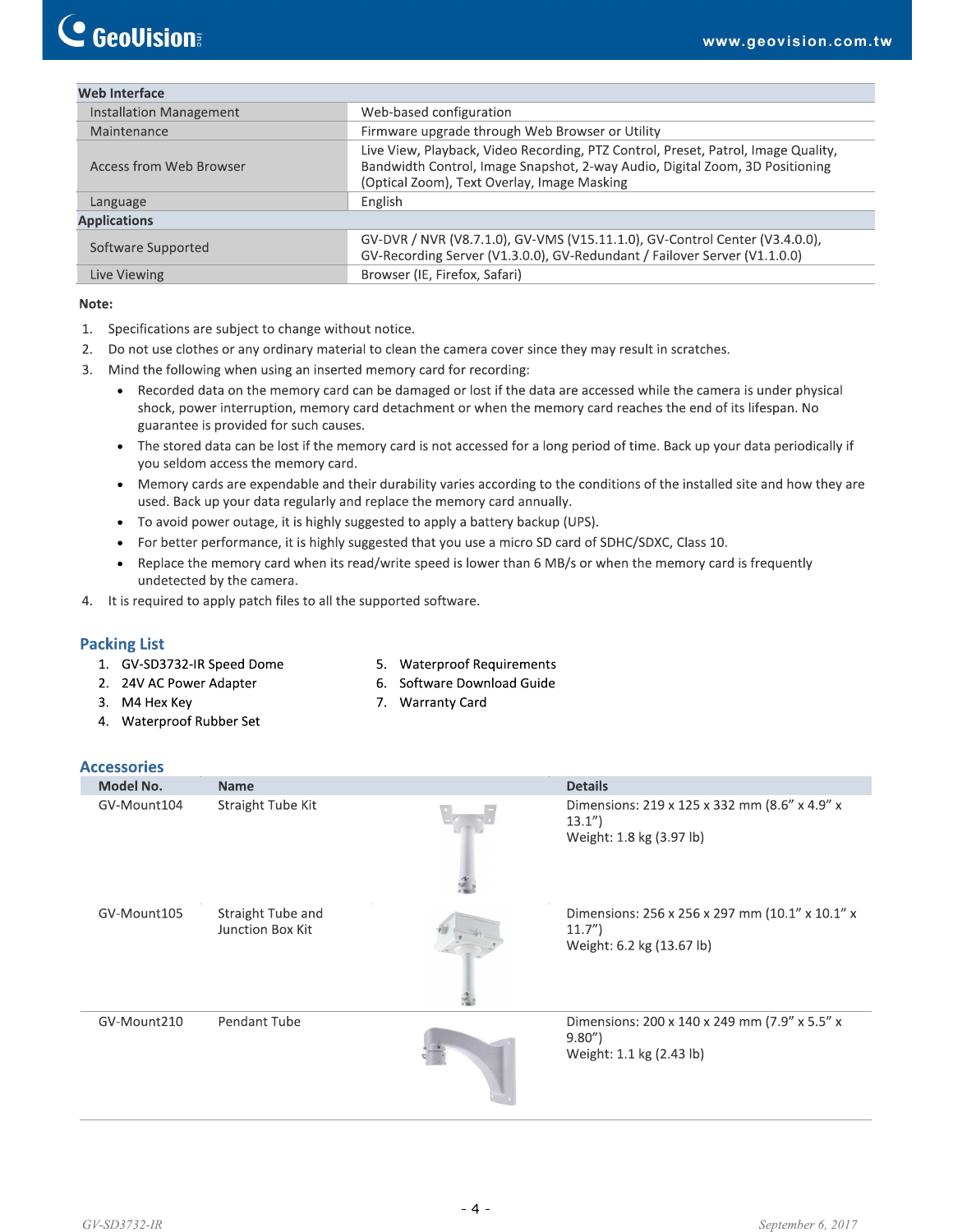| <b>Web Interface</b>    |                                                                                                                                                                                                                  |
|-------------------------|------------------------------------------------------------------------------------------------------------------------------------------------------------------------------------------------------------------|
| Installation Management | Web-based configuration                                                                                                                                                                                          |
| Maintenance             | Firmware upgrade through Web Browser or Utility                                                                                                                                                                  |
| Access from Web Browser | Live View, Playback, Video Recording, PTZ Control, Preset, Patrol, Image Quality,<br>Bandwidth Control, Image Snapshot, 2-way Audio, Digital Zoom, 3D Positioning<br>(Optical Zoom), Text Overlay, Image Masking |
| Language                | English                                                                                                                                                                                                          |
| <b>Applications</b>     |                                                                                                                                                                                                                  |
| Software Supported      | GV-DVR / NVR (V8.7.1.0), GV-VMS (V15.11.1.0), GV-Control Center (V3.4.0.0),<br>GV-Recording Server (V1.3.0.0), GV-Redundant / Failover Server (V1.1.0.0)                                                         |
| Live Viewing            | Browser (IE, Firefox, Safari)                                                                                                                                                                                    |

#### Note:

- 1. Specifications are subject to change without notice.
- $2.$ Do not use clothes or any ordinary material to clean the camera cover since they may result in scratches.
- Mind the following when using an inserted memory card for recording: 3.
	- Recorded data on the memory card can be damaged or lost if the data are accessed while the camera is under physical  $\bullet$ shock, power interruption, memory card detachment or when the memory card reaches the end of its lifespan. No guarantee is provided for such causes.
	- The stored data can be lost if the memory card is not accessed for a long period of time. Back up your data periodically if you seldom access the memory card.
	- Memory cards are expendable and their durability varies according to the conditions of the installed site and how they are used. Back up your data regularly and replace the memory card annually.
	- To avoid power outage, it is highly suggested to apply a battery backup (UPS).
	- For better performance, it is highly suggested that you use a micro SD card of SDHC/SDXC, Class 10.
	- Replace the memory card when its read/write speed is lower than 6 MB/s or when the memory card is frequently  $\bullet$ undetected by the camera.
- 4. It is required to apply patch files to all the supported software.

#### **Packing List**

- 1. GV-SD3732-IR Speed Dome
- 5. Waterproof Requirements
- 6. Software Download Guide 7. Warranty Card
- 3. M4 Hex Key
- 4. Waterproof Rubber Set

2. 24V AC Power Adapter

#### **Accessories**

| ALLESSUI IES |                                       |                                                                                       |
|--------------|---------------------------------------|---------------------------------------------------------------------------------------|
| Model No.    | <b>Name</b>                           | <b>Details</b>                                                                        |
| GV-Mount104  | Straight Tube Kit                     | Dimensions: 219 x 125 x 332 mm (8.6" x 4.9" x<br>13.1'<br>Weight: 1.8 kg (3.97 lb)    |
| GV-Mount105  | Straight Tube and<br>Junction Box Kit | Dimensions: 256 x 256 x 297 mm (10.1" x 10.1" x<br>11.7"<br>Weight: 6.2 kg (13.67 lb) |
| GV-Mount210  | Pendant Tube                          | Dimensions: 200 x 140 x 249 mm (7.9" x 5.5" x<br>9.80"<br>Weight: 1.1 kg (2.43 lb)    |